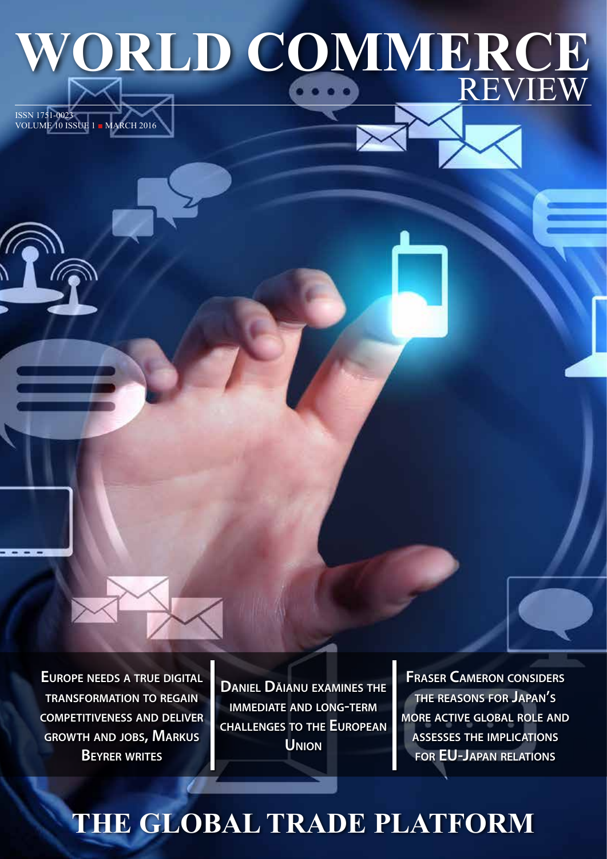# WORLD COMMERCE

**Europe needs <sup>a</sup> true digital transformation to regain competitiveness and deliver growth and jobs, Markus Beyrer writes**

ISSN 1751-0023

VOLUME 10 ISSUE 1 ■ MARCH 2016

**Daniel Dăianu examines the immediate and long-term challenges to the European Union**

**Fraser Cameron considers the reasons for Japan's more active global role and assesses the implications for EU-Japan relations**

# **THE GLOBAL TRADE PLATFORM**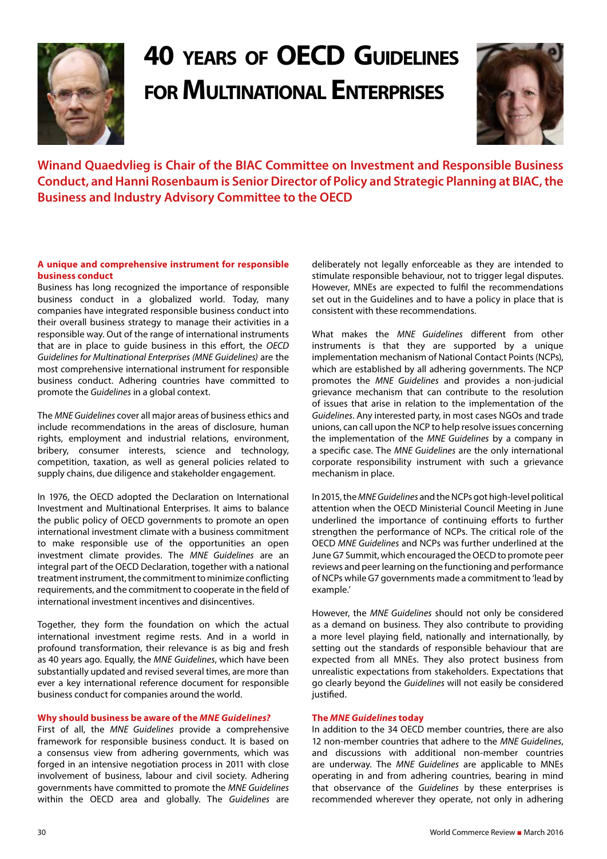

### **40 years of OECD Guidelines for Multinational Enterprises**



**Winand Quaedvlieg is Chair of the BIAC Committee on Investment and Responsible Business Conduct, and Hanni Rosenbaum is Senior Director of Policy and Strategic Planning at BIAC, the Business and Industry Advisory Committee to the OECD**

#### **A unique and comprehensive instrument for responsible business conduct**

Business has long recognized the importance of responsible business conduct in a globalized world. Today, many companies have integrated responsible business conduct into their overall business strategy to manage their activities in a responsible way. Out of the range of international instruments that are in place to guide business in this effort, the *OECD Guidelines for Multinational Enterprises (MNE Guidelines)* are the most comprehensive international instrument for responsible business conduct. Adhering countries have committed to promote the *Guidelines* in a global context.

The *MNE Guidelines* cover all major areas of business ethics and include recommendations in the areas of disclosure, human rights, employment and industrial relations, environment, bribery, consumer interests, science and technology, competition, taxation, as well as general policies related to supply chains, due diligence and stakeholder engagement.

In 1976, the OECD adopted the Declaration on International Investment and Multinational Enterprises. It aims to balance the public policy of OECD governments to promote an open international investment climate with a business commitment to make responsible use of the opportunities an open investment climate provides. The *MNE Guidelines* are an integral part of the OECD Declaration, together with a national treatment instrument, the commitment to minimize conflicting requirements, and the commitment to cooperate in the field of international investment incentives and disincentives.

Together, they form the foundation on which the actual international investment regime rests. And in a world in profound transformation, their relevance is as big and fresh as 40 years ago. Equally, the *MNE Guidelines*, which have been substantially updated and revised several times, are more than ever a key international reference document for responsible business conduct for companies around the world.

#### **Why should business be aware of the** *MNE Guidelines?*

First of all, the *MNE Guidelines* provide a comprehensive framework for responsible business conduct. It is based on a consensus view from adhering governments, which was forged in an intensive negotiation process in 2011 with close involvement of business, labour and civil society. Adhering governments have committed to promote the *MNE Guidelines*  within the OECD area and globally. The *Guidelines* are deliberately not legally enforceable as they are intended to stimulate responsible behaviour, not to trigger legal disputes. However, MNEs are expected to fulfil the recommendations set out in the Guidelines and to have a policy in place that is consistent with these recommendations.

What makes the *MNE Guidelines* different from other instruments is that they are supported by a unique implementation mechanism of National Contact Points (NCPs), which are established by all adhering governments. The NCP promotes the *MNE Guidelines* and provides a non-judicial grievance mechanism that can contribute to the resolution of issues that arise in relation to the implementation of the *Guidelines*. Any interested party, in most cases NGOs and trade unions, can call upon the NCP to help resolve issues concerning the implementation of the *MNE Guidelines* by a company in a specific case. The *MNE Guidelines* are the only international corporate responsibility instrument with such a grievance mechanism in place.

In 2015, the *MNE Guidelines* and the NCPs got high-level political attention when the OECD Ministerial Council Meeting in June underlined the importance of continuing efforts to further strengthen the performance of NCPs. The critical role of the OECD *MNE Guidelines* and NCPs was further underlined at the June G7 Summit, which encouraged the OECD to promote peer reviews and peer learning on the functioning and performance of NCPs while G7 governments made a commitment to 'lead by example.'

However, the *MNE Guidelines* should not only be considered as a demand on business. They also contribute to providing a more level playing field, nationally and internationally, by setting out the standards of responsible behaviour that are expected from all MNEs. They also protect business from unrealistic expectations from stakeholders. Expectations that go clearly beyond the *Guidelines* will not easily be considered justified.

#### **The** *MNE Guidelines* **today**

In addition to the 34 OECD member countries, there are also 12 non-member countries that adhere to the *MNE Guidelines*, and discussions with additional non-member countries are underway. The *MNE Guidelines* are applicable to MNEs operating in and from adhering countries, bearing in mind that observance of the *Guidelines* by these enterprises is recommended wherever they operate, not only in adhering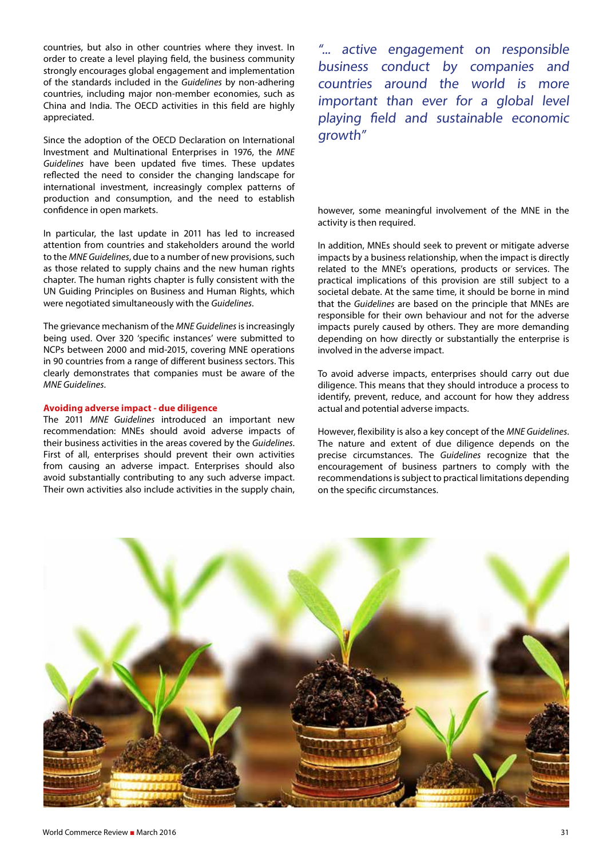countries, but also in other countries where they invest. In order to create a level playing field, the business community strongly encourages global engagement and implementation of the standards included in the *Guidelines* by non-adhering countries, including major non-member economies, such as China and India. The OECD activities in this field are highly appreciated.

Since the adoption of the OECD Declaration on International Investment and Multinational Enterprises in 1976, the *MNE Guidelines* have been updated five times. These updates reflected the need to consider the changing landscape for international investment, increasingly complex patterns of production and consumption, and the need to establish confidence in open markets.

In particular, the last update in 2011 has led to increased attention from countries and stakeholders around the world to the *MNE Guidelines*, due to a number of new provisions, such as those related to supply chains and the new human rights chapter. The human rights chapter is fully consistent with the UN Guiding Principles on Business and Human Rights, which were negotiated simultaneously with the *Guidelines*.

The grievance mechanism of the *MNE Guidelines* is increasingly being used. Over 320 'specific instances' were submitted to NCPs between 2000 and mid-2015, covering MNE operations in 90 countries from a range of different business sectors. This clearly demonstrates that companies must be aware of the *MNE Guidelines*.

#### **Avoiding adverse impact - due diligence**

The 2011 *MNE Guidelines* introduced an important new recommendation: MNEs should avoid adverse impacts of their business activities in the areas covered by the *Guidelines*. First of all, enterprises should prevent their own activities from causing an adverse impact. Enterprises should also avoid substantially contributing to any such adverse impact. Their own activities also include activities in the supply chain,

"... active engagement on responsible business conduct by companies and countries around the world is more important than ever for a global level playing field and sustainable economic growth"

however, some meaningful involvement of the MNE in the activity is then required.

In addition, MNEs should seek to prevent or mitigate adverse impacts by a business relationship, when the impact is directly related to the MNE's operations, products or services. The practical implications of this provision are still subject to a societal debate. At the same time, it should be borne in mind that the *Guidelines* are based on the principle that MNEs are responsible for their own behaviour and not for the adverse impacts purely caused by others. They are more demanding depending on how directly or substantially the enterprise is involved in the adverse impact.

To avoid adverse impacts, enterprises should carry out due diligence. This means that they should introduce a process to identify, prevent, reduce, and account for how they address actual and potential adverse impacts.

However, flexibility is also a key concept of the *MNE Guidelines*. The nature and extent of due diligence depends on the precise circumstances. The *Guidelines* recognize that the encouragement of business partners to comply with the recommendations is subject to practical limitations depending on the specific circumstances.